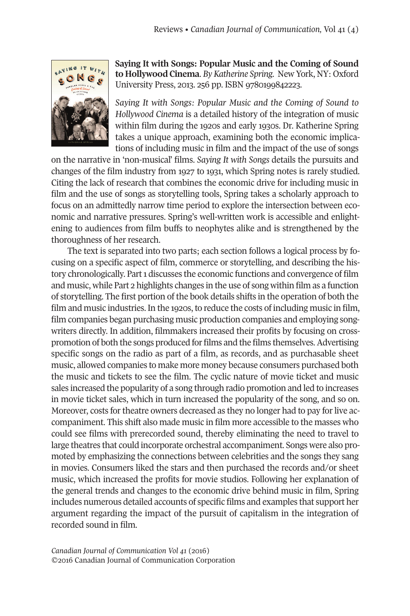

**Saying It with Songs: Popular Music and the Coming of Sound to Hollywood Cinema**. *By Katherine Spring*. New York, NY: Oxford University Press, 2013. 256 pp. ISBN 9780199842223.

*Saying It with Songs: Popular Music and the Coming of Sound to Hollywood Cinema* is a detailed history of the integration of music within film during the 1920s and early 1930s. Dr. Katherine Spring takes a unique approach, examining both the economic implications of including music in film and the impact of the use of songs

on the narrative in 'non-musical' films. *Saying It with Songs* details the pursuits and changes of the film industry from 1927 to 1931, which Spring notes is rarely studied. Citing the lack of research that combines the economic drive for including music in film and the use of songs as storytelling tools, Spring takes a scholarly approach to focus on an admittedly narrow time period to explore the intersection between economic and narrative pressures. Spring's well-written work is accessible and enlightening to audiences from film buffs to neophytes alike and is strengthened by the thoroughness of her research.

The text is separated into two parts; each section follows a logical process by focusing on a specific aspect of film, commerce or storytelling, and describing the history chronologically. Part1 discusses the economic functions and convergence of film and music, while Part 2 highlights changes in the use of song within film as a function of storytelling. The first portion of the book details shifts in the operation of both the film and music industries. In the 1920s, to reduce the costs of including music in film, film companies began purchasing music production companies and employing songwriters directly. In addition, filmmakers increased their profits by focusing on crosspromotion of both the songs produced for films and the films themselves.Advertising specific songs on the radio as part of a film, as records, and as purchasable sheet music, allowed companies to make more money because consumers purchased both the music and tickets to see the film. The cyclic nature of movie ticket and music sales increased the popularity of a song through radio promotion and led to increases in movie ticket sales, which in turn increased the popularity of the song, and so on. Moreover, costs for theatre owners decreased as they no longer had to pay for live accompaniment. This shift also made music in film more accessible to the masses who could see films with prerecorded sound, thereby eliminating the need to travel to large theatres that could incorporate orchestral accompaniment. Songs were also promoted by emphasizing the connections between celebrities and the songs they sang in movies. Consumers liked the stars and then purchased the records and/or sheet music, which increased the profits for movie studios. Following her explanation of the general trends and changes to the economic drive behind music in film, Spring includes numerous detailed accounts of specific films and examples that support her argument regarding the impact of the pursuit of capitalism in the integration of recorded sound in film.